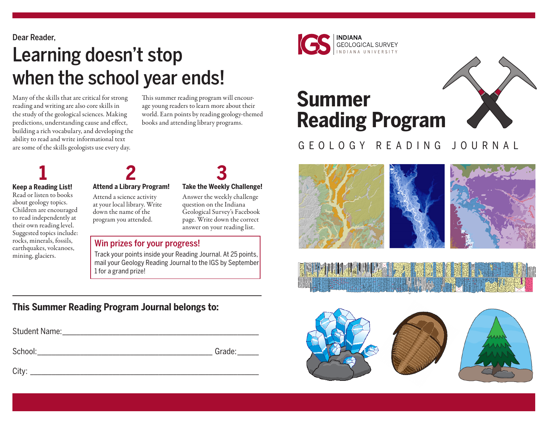Dear Reader,

# Learning doesn't stop when the school year ends!

Many of the skills that are critical for strong reading and writing are also core skills in the study of the geological sciences. Making predictions, understanding cause and effect, building a rich vocabulary, and developing the ability to read and write informational text are some of the skills geologists use every day.

This summer reading program will encourage young readers to learn more about their world. Earn points by reading geology-themed books and attending library programs.

## **Keep a Reading List!**

Read or listen to books about geology topics. Children are encouraged to read independently at their own reading level. Suggested topics include: rocks, minerals, fossils, earthquakes, volcanoes, mining, glaciers.

### **Attend a Library Program! 1 2 3**

Attend a science activity at your local library. Write down the name of the program you attended.

#### **Take the Weekly Challenge!**

Answer the weekly challenge question on the Indiana Geological Survey's Facebook page. Write down the correct answer on your reading list.

#### Win prizes for your progress!

Track your points inside your Reading Journal. At 25 points, mail your Geology Reading Journal to the IGS by September 1 for a grand prize!

### **This Summer Reading Program Journal belongs to:**

| Student Name: |        |
|---------------|--------|
| School:       | Grade: |
| City:         |        |



# **Summer Reading Program**



## GEOLOGY READING JOURNAL